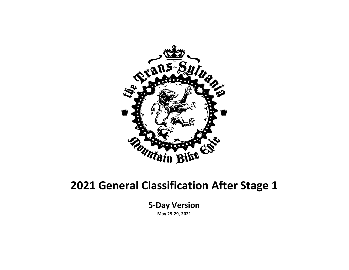

#### **2021 General Classification After Stage 1**

**5-Day Version**

**May 25-29, 2021**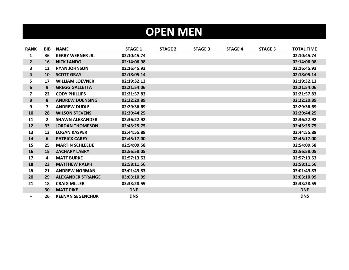## **OPEN MEN**

| <b>RANK</b>              | <b>BIB</b>     | <b>NAME</b>              | <b>STAGE 1</b> | <b>STAGE 2</b> | <b>STAGE 3</b> | <b>STAGE 4</b> | <b>STAGE 5</b> | <b>TOTAL TIME</b> |
|--------------------------|----------------|--------------------------|----------------|----------------|----------------|----------------|----------------|-------------------|
| 1                        | 36             | <b>KERRY WERNER JR.</b>  | 02:10:45.74    |                |                |                |                | 02:10:45.74       |
| $\overline{2}$           | <b>16</b>      | <b>NICK LANDO</b>        | 02:14:06.98    |                |                |                |                | 02:14:06.98       |
| 3                        | 12             | <b>RYAN JOHNSON</b>      | 02:16:45.93    |                |                |                |                | 02:16:45.93       |
| 4                        | 10             | <b>SCOTT GRAY</b>        | 02:18:05.14    |                |                |                |                | 02:18:05.14       |
| 5                        | 17             | <b>WILLIAM LOEVNER</b>   | 02:19:32.13    |                |                |                |                | 02:19:32.13       |
| 6                        | 9              | <b>GREGG GALLETTA</b>    | 02:21:54.06    |                |                |                |                | 02:21:54.06       |
| 7                        | 22             | <b>CODY PHILLIPS</b>     | 02:21:57.83    |                |                |                |                | 02:21:57.83       |
| 8                        | 8              | <b>ANDREW DUENSING</b>   | 02:22:20.89    |                |                |                |                | 02:22:20.89       |
| 9                        | $\overline{ }$ | <b>ANDREW DUDLE</b>      | 02:29:36.69    |                |                |                |                | 02:29:36.69       |
| 10                       | 28             | <b>WILSON STEVENS</b>    | 02:29:44.25    |                |                |                |                | 02:29:44.25       |
| 11                       | $\mathbf{2}$   | <b>SHAWN ALEXANDER</b>   | 02:36:22.92    |                |                |                |                | 02:36:22.92       |
| 12                       | 33             | <b>JORDAN THOMPSON</b>   | 02:43:25.75    |                |                |                |                | 02:43:25.75       |
| 13                       | 13             | <b>LOGAN KASPER</b>      | 02:44:55.88    |                |                |                |                | 02:44:55.88       |
| 14                       | 6              | <b>PATRICK CAREY</b>     | 02:45:17.00    |                |                |                |                | 02:45:17.00       |
| 15                       | 25             | <b>MARTIN SCHLEEDE</b>   | 02:54:09.58    |                |                |                |                | 02:54:09.58       |
| 16                       | 15             | <b>ZACHARY LABRY</b>     | 02:56:58.05    |                |                |                |                | 02:56:58.05       |
| 17                       | 4              | <b>MATT BURKE</b>        | 02:57:13.53    |                |                |                |                | 02:57:13.53       |
| 18                       | 23             | <b>MATTHEW RALPH</b>     | 02:58:11.56    |                |                |                |                | 02:58:11.56       |
| 19                       | 21             | <b>ANDREW NORMAN</b>     | 03:01:49.83    |                |                |                |                | 03:01:49.83       |
| 20                       | 29             | <b>ALEXANDER STRANGE</b> | 03:03:10.99    |                |                |                |                | 03:03:10.99       |
| 21                       | 18             | <b>CRAIG MILLER</b>      | 03:33:28.59    |                |                |                |                | 03:33:28.59       |
| $\blacksquare$           | 30             | <b>MATT PIKE</b>         | <b>DNF</b>     |                |                |                |                | <b>DNF</b>        |
| $\overline{\phantom{0}}$ | 26             | <b>KEENAN SEGENCHUK</b>  | <b>DNS</b>     |                |                |                |                | <b>DNS</b>        |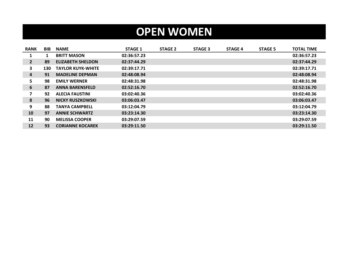# **OPEN WOMEN**

| <b>RANK</b>    | <b>BIB</b> | <b>NAME</b>              | <b>STAGE 1</b> | <b>STAGE 2</b> | <b>STAGE 3</b> | <b>STAGE 4</b> | <b>STAGE 5</b> | <b>TOTAL TIME</b> |
|----------------|------------|--------------------------|----------------|----------------|----------------|----------------|----------------|-------------------|
| 1              |            | <b>BRITT MASON</b>       | 02:36:57.23    |                |                |                |                | 02:36:57.23       |
| $\overline{2}$ | 89         | <b>ELIZABETH SHELDON</b> | 02:37:44.29    |                |                |                |                | 02:37:44.29       |
| 3              | 130        | <b>TAYLOR KUYK-WHITE</b> | 02:39:17.71    |                |                |                |                | 02:39:17.71       |
| 4              | 91         | <b>MADELINE DEPMAN</b>   | 02:48:08.94    |                |                |                |                | 02:48:08.94       |
| 5              | 98         | <b>EMILY WERNER</b>      | 02:48:31.98    |                |                |                |                | 02:48:31.98       |
| 6              | 87         | <b>ANNA BARENSFELD</b>   | 02:52:16.70    |                |                |                |                | 02:52:16.70       |
| 7              | 92         | <b>ALECIA FAUSTINI</b>   | 03:02:40.36    |                |                |                |                | 03:02:40.36       |
| 8              | 96         | <b>NICKY RUSZKOWSKI</b>  | 03:06:03.47    |                |                |                |                | 03:06:03.47       |
| 9              | 88         | <b>TANYA CAMPBELL</b>    | 03:12:04.79    |                |                |                |                | 03:12:04.79       |
| 10             | 97         | <b>ANNIE SCHWARTZ</b>    | 03:23:14.30    |                |                |                |                | 03:23:14.30       |
| 11             | 90         | <b>MELISSA COOPER</b>    | 03:29:07.59    |                |                |                |                | 03:29:07.59       |
| 12             | 93         | <b>CORIANNE KOCAREK</b>  | 03:29:11.50    |                |                |                |                | 03:29:11.50       |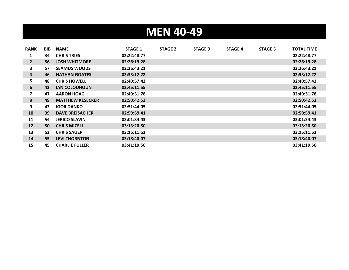# **MEN 40-49**

| <b>RANK</b>    | <b>BIB</b> | <b>NAME</b>             | <b>STAGE 1</b> | <b>STAGE 2</b> | <b>STAGE 3</b> | <b>STAGE 4</b> | <b>STAGE 5</b> | <b>TOTAL TIME</b> |
|----------------|------------|-------------------------|----------------|----------------|----------------|----------------|----------------|-------------------|
| 1              | 34         | <b>CHRIS TRIES</b>      | 02:22:48.77    |                |                |                |                | 02:22:48.77       |
| $\overline{2}$ | 56         | <b>JOSH WHITMORE</b>    | 02:26:19.28    |                |                |                |                | 02:26:19.28       |
| 3              | 57         | <b>SEAMUS WOODS</b>     | 02:26:43.21    |                |                |                |                | 02:26:43.21       |
| 4              | 46         | <b>NATHAN GOATES</b>    | 02:33:12.22    |                |                |                |                | 02:33:12.22       |
| 5              | 48         | <b>CHRIS HOWELL</b>     | 02:40:57.42    |                |                |                |                | 02:40:57.42       |
| 6              | 42         | <b>IAN COLQUHOUN</b>    | 02:45:11.55    |                |                |                |                | 02:45:11.55       |
| 7              | 47         | <b>AARON HOAG</b>       | 02:49:31.78    |                |                |                |                | 02:49:31.78       |
| 8              | 49         | <b>MATTHEW KESECKER</b> | 02:50:42.53    |                |                |                |                | 02:50:42.53       |
| 9              | 43         | <b>IGOR DANKO</b>       | 02:51:44.05    |                |                |                |                | 02:51:44.05       |
| 10             | 39         | <b>DAVE BREISACHER</b>  | 02:59:59.41    |                |                |                |                | 02:59:59.41       |
| 11             | 54         | <b>JERICO SLAVIN</b>    | 03:01:34.43    |                |                |                |                | 03:01:34.43       |
| 12             | 50         | <b>CHRIS MICELI</b>     | 03:13:20.50    |                |                |                |                | 03:13:20.50       |
| 13             | 52         | <b>CHRIS SAUER</b>      | 03:15:11.52    |                |                |                |                | 03:15:11.52       |
| 14             | 55         | <b>LEVI THORNTON</b>    | 03:18:40.07    |                |                |                |                | 03:18:40.07       |
| 15             | 45         | <b>CHARLIE FULLER</b>   | 03:41:19.50    |                |                |                |                | 03:41:19.50       |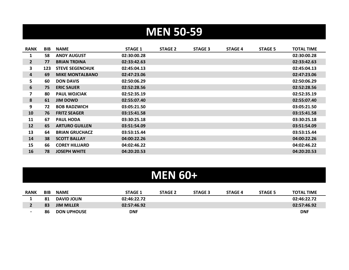# **MEN 50-59**

| <b>RANK</b>             | <b>BIB</b> | <b>NAME</b>            | <b>STAGE 1</b> | <b>STAGE 2</b> | <b>STAGE 3</b> | <b>STAGE 4</b> | <b>STAGE 5</b> | <b>TOTAL TIME</b> |
|-------------------------|------------|------------------------|----------------|----------------|----------------|----------------|----------------|-------------------|
| 1                       | 58         | <b>ANDY AUGUST</b>     | 02:30:00.28    |                |                |                |                | 02:30:00.28       |
| $2^{\circ}$             | 77         | <b>BRIAN TRDINA</b>    | 02:33:42.63    |                |                |                |                | 02:33:42.63       |
| 3                       | 123        | <b>STEVE SEGENCHUK</b> | 02:45:04.13    |                |                |                |                | 02:45:04.13       |
| 4                       | 69         | <b>MIKE MONTALBANO</b> | 02:47:23.06    |                |                |                |                | 02:47:23.06       |
| 5                       | 60         | <b>DON DAVIS</b>       | 02:50:06.29    |                |                |                |                | 02:50:06.29       |
| 6                       | 75         | <b>ERIC SAUER</b>      | 02:52:28.56    |                |                |                |                | 02:52:28.56       |
| $\overline{\mathbf{z}}$ | 80         | <b>PAUL WOJCIAK</b>    | 02:52:35.19    |                |                |                |                | 02:52:35.19       |
| 8                       | 61         | <b>JIM DOWD</b>        | 02:55:07.40    |                |                |                |                | 02:55:07.40       |
| 9                       | 72         | <b>BOB RADZWICH</b>    | 03:05:21.50    |                |                |                |                | 03:05:21.50       |
| <b>10</b>               | 76         | <b>FRITZ SEAGER</b>    | 03:15:41.58    |                |                |                |                | 03:15:41.58       |
| 11                      | 67         | <b>PAUL HODA</b>       | 03:30:25.18    |                |                |                |                | 03:30:25.18       |
| 12                      | 65         | <b>ARTURO GUILLEN</b>  | 03:51:54.09    |                |                |                |                | 03:51:54.09       |
| 13                      | 64         | <b>BRIAN GRUCHACZ</b>  | 03:53:15.44    |                |                |                |                | 03:53:15.44       |
| 14                      | 38         | <b>SCOTT BALLAY</b>    | 04:00:22.26    |                |                |                |                | 04:00:22.26       |
| 15                      | 66         | <b>COREY HILLIARD</b>  | 04:02:46.22    |                |                |                |                | 04:02:46.22       |
| 16                      | 78         | <b>JOSEPH WHITE</b>    | 04:20:20.53    |                |                |                |                | 04:20:20.53       |

#### **MEN 60+**

| <b>RANK</b> | <b>BIB</b> | <b>NAME</b>        | <b>STAGE 1</b> | <b>STAGE 2</b> | <b>STAGE 3</b> | <b>STAGE 4</b> | <b>STAGE 5</b> | <b>TOTAL TIME</b> |
|-------------|------------|--------------------|----------------|----------------|----------------|----------------|----------------|-------------------|
|             | 81         | <b>DAVID JOLIN</b> | 02:46:22.72    |                |                |                |                | 02:46:22.72       |
|             | 83         | <b>JIM MILLER</b>  | 02:57:46.92    |                |                |                |                | 02:57:46.92       |
|             | 86         | <b>DON UPHOUSE</b> | <b>DNF</b>     |                |                |                |                | <b>DNF</b>        |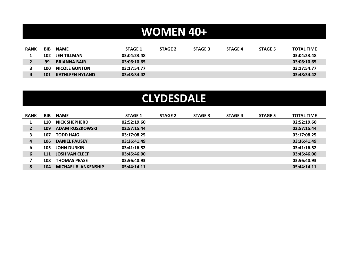## **WOMEN 40+**

| <b>RANK</b> | <b>BIB</b> | <b>NAME</b>            | <b>STAGE 1</b> | <b>STAGE 2</b> | <b>STAGE 3</b> | <b>STAGE 4</b> | STAGE 5 | <b>TOTAL TIME</b> |
|-------------|------------|------------------------|----------------|----------------|----------------|----------------|---------|-------------------|
|             | 102        | JEN TILLMAN            | 03:04:23.48    |                |                |                |         | 03:04:23.48       |
|             | 99         | <b>BRIANNA BAIR</b>    | 03:06:10.65    |                |                |                |         | 03:06:10.65       |
|             | 100        | <b>NICOLE GUNTON</b>   | 03:17:54.77    |                |                |                |         | 03:17:54.77       |
|             | 101        | <b>KATHLEEN HYLAND</b> | 03:48:34.42    |                |                |                |         | 03:48:34.42       |

## **CLYDESDALE**

| <b>RANK</b>    | <b>BIB</b> | <b>NAME</b>                | <b>STAGE 1</b> | <b>STAGE 2</b> | <b>STAGE 3</b> | <b>STAGE 4</b> | <b>STAGE 5</b> | <b>TOTAL TIME</b> |
|----------------|------------|----------------------------|----------------|----------------|----------------|----------------|----------------|-------------------|
|                | 110        | <b>NICK SHEPHERD</b>       | 02:52:19.60    |                |                |                |                | 02:52:19.60       |
| $\overline{2}$ | 109        | <b>ADAM RUSZKOWSKI</b>     | 02:57:15.44    |                |                |                |                | 02:57:15.44       |
| 3              | 107        | <b>TODD HAIG</b>           | 03:17:08.25    |                |                |                |                | 03:17:08.25       |
| $\overline{a}$ | 106        | <b>DANIEL FAUSEY</b>       | 03:36:41.49    |                |                |                |                | 03:36:41.49       |
| 5.             | 105        | <b>JOHN DURKIN</b>         | 03:41:16.52    |                |                |                |                | 03:41:16.52       |
| 6              | <b>111</b> | <b>JOSH VAN CLEEF</b>      | 03:45:46.00    |                |                |                |                | 03:45:46.00       |
| 7              | 108        | <b>THOMAS PEASE</b>        | 03:56:40.93    |                |                |                |                | 03:56:40.93       |
| 8              | 104        | <b>MICHAEL BLANKENSHIP</b> | 05:44:14.11    |                |                |                |                | 05:44:14.11       |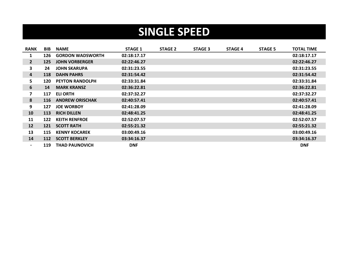## **SINGLE SPEED**

| <b>RANK</b>    | BIB        | <b>NAME</b>             | <b>STAGE 1</b> | <b>STAGE 2</b> | <b>STAGE 3</b> | <b>STAGE 4</b> | <b>STAGE 5</b> | <b>TOTAL TIME</b> |
|----------------|------------|-------------------------|----------------|----------------|----------------|----------------|----------------|-------------------|
| 1              | 126        | <b>GORDON WADSWORTH</b> | 02:18:17.17    |                |                |                |                | 02:18:17.17       |
| 2 <sup>1</sup> | 125        | <b>JOHN VORBERGER</b>   | 02:22:46.27    |                |                |                |                | 02:22:46.27       |
| 3              | 24         | <b>JOHN SKARUPA</b>     | 02:31:23.55    |                |                |                |                | 02:31:23.55       |
| 4              | 118        | <b>DAHN PAHRS</b>       | 02:31:54.42    |                |                |                |                | 02:31:54.42       |
| 5              | 120        | <b>PEYTON RANDOLPH</b>  | 02:33:31.84    |                |                |                |                | 02:33:31.84       |
| 6              | 14         | <b>MARK KRANSZ</b>      | 02:36:22.81    |                |                |                |                | 02:36:22.81       |
| 7              | 117        | ELI ORTH                | 02:37:32.27    |                |                |                |                | 02:37:32.27       |
| 8              | <b>116</b> | <b>ANDREW ORISCHAK</b>  | 02:40:57.41    |                |                |                |                | 02:40:57.41       |
| 9              | 127        | <b>JOE WORBOY</b>       | 02:41:28.09    |                |                |                |                | 02:41:28.09       |
| 10             | 113        | <b>RICH DILLEN</b>      | 02:48:41.25    |                |                |                |                | 02:48:41.25       |
| 11             | 122        | <b>KEITH RENFROE</b>    | 02:52:07.57    |                |                |                |                | 02:52:07.57       |
| 12             | 121        | <b>SCOTT RATH</b>       | 02:55:21.32    |                |                |                |                | 02:55:21.32       |
| 13             | 115        | <b>KENNY KOCAREK</b>    | 03:00:49.16    |                |                |                |                | 03:00:49.16       |
| 14             | 112        | <b>SCOTT BERKLEY</b>    | 03:34:16.37    |                |                |                |                | 03:34:16.37       |
| $\blacksquare$ | 119        | <b>THAD PAUNOVICH</b>   | <b>DNF</b>     |                |                |                |                | <b>DNF</b>        |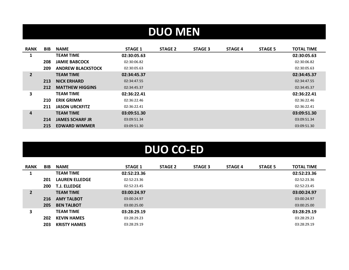# **DUO MEN**

| <b>RANK</b>    | <b>BIB</b> | <b>NAME</b>              | <b>STAGE 1</b> | <b>STAGE 2</b> | <b>STAGE 3</b> | <b>STAGE 4</b> | <b>STAGE 5</b> | <b>TOTAL TIME</b> |
|----------------|------------|--------------------------|----------------|----------------|----------------|----------------|----------------|-------------------|
| 1              |            | <b>TEAM TIME</b>         | 02:30:05.63    |                |                |                |                | 02:30:05.63       |
|                | 208        | <b>JAMIE BABCOCK</b>     | 02:30:06.82    |                |                |                |                | 02:30:06.82       |
|                | 209        | <b>ANDREW BLACKSTOCK</b> | 02:30:05.63    |                |                |                |                | 02:30:05.63       |
| $\overline{2}$ |            | <b>TEAM TIME</b>         | 02:34:45.37    |                |                |                |                | 02:34:45.37       |
|                | 213        | <b>NICK ERHARD</b>       | 02:34:47.55    |                |                |                |                | 02:34:47.55       |
|                | 212        | <b>MATTHEW HIGGINS</b>   | 02:34:45.37    |                |                |                |                | 02:34:45.37       |
| 3              |            | <b>TEAM TIME</b>         | 02:36:22.41    |                |                |                |                | 02:36:22.41       |
|                | 210        | <b>ERIK GRIMM</b>        | 02:36:22.46    |                |                |                |                | 02:36:22.46       |
|                | 211        | <b>JASON URCKFITZ</b>    | 02:36:22.41    |                |                |                |                | 02:36:22.41       |
| 4              |            | <b>TEAM TIME</b>         | 03:09:51.30    |                |                |                |                | 03:09:51.30       |
|                | 214        | <b>JAMES SCHARF JR</b>   | 03:09:51.34    |                |                |                |                | 03:09:51.34       |
|                | 215        | <b>EDWARD WIMMER</b>     | 03:09:51.30    |                |                |                |                | 03:09:51.30       |

# **DUO CO-ED**

| <b>RANK</b>  | <b>BIB</b> | <b>NAME</b>           | <b>STAGE 1</b> | STAGE 2 | <b>STAGE 3</b> | <b>STAGE 4</b> | <b>STAGE 5</b> | <b>TOTAL TIME</b> |
|--------------|------------|-----------------------|----------------|---------|----------------|----------------|----------------|-------------------|
| ┻            |            | <b>TEAM TIME</b>      | 02:52:23.36    |         |                |                |                | 02:52:23.36       |
|              | 201        | <b>LAUREN ELLEDGE</b> | 02:52:23.36    |         |                |                |                | 02:52:23.36       |
|              | 200        | <b>T.J. ELLEDGE</b>   | 02:52:23.45    |         |                |                |                | 02:52:23.45       |
| $\mathbf{2}$ |            | <b>TEAM TIME</b>      | 03:00:24.97    |         |                |                |                | 03:00:24.97       |
|              | 216        | <b>AMY TALBOT</b>     | 03:00:24.97    |         |                |                |                | 03:00:24.97       |
|              | 205        | <b>BEN TALBOT</b>     | 03:00:25.00    |         |                |                |                | 03:00:25.00       |
| 3            |            | <b>TEAM TIME</b>      | 03:28:29.19    |         |                |                |                | 03:28:29.19       |
|              | 202        | <b>KEVIN HAMES</b>    | 03:28:29.23    |         |                |                |                | 03:28:29.23       |
|              | 203        | <b>KRISTY HAMES</b>   | 03:28:29.19    |         |                |                |                | 03:28:29.19       |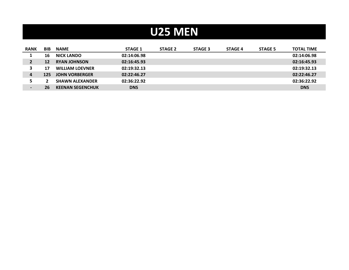# **U25 MEN**

| <b>RANK</b>                  | <b>BIB</b> | <b>NAME</b>             | <b>STAGE 1</b> | <b>STAGE 2</b> | <b>STAGE 3</b> | <b>STAGE 4</b> | <b>STAGE 5</b> | <b>TOTAL TIME</b> |
|------------------------------|------------|-------------------------|----------------|----------------|----------------|----------------|----------------|-------------------|
|                              | 16         | <b>NICK LANDO</b>       | 02:14:06.98    |                |                |                |                | 02:14:06.98       |
|                              | 12         | <b>RYAN JOHNSON</b>     | 02:16:45.93    |                |                |                |                | 02:16:45.93       |
|                              | 17         | <b>WILLIAM LOEVNER</b>  | 02:19:32.13    |                |                |                |                | 02:19:32.13       |
|                              | 125        | <b>JOHN VORBERGER</b>   | 02:22:46.27    |                |                |                |                | 02:22:46.27       |
|                              |            | <b>SHAWN ALEXANDER</b>  | 02:36:22.92    |                |                |                |                | 02:36:22.92       |
| $\qquad \qquad \blacksquare$ | 26         | <b>KEENAN SEGENCHUK</b> | <b>DNS</b>     |                |                |                |                | <b>DNS</b>        |